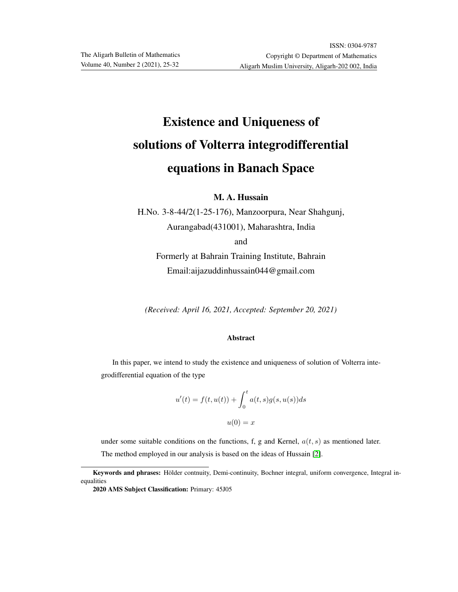# Existence and Uniqueness of solutions of Volterra integrodifferential equations in Banach Space

### M. A. Hussain

H.No. 3-8-44/2(1-25-176), Manzoorpura, Near Shahgunj, Aurangabad(431001), Maharashtra, India

and

Formerly at Bahrain Training Institute, Bahrain Email:aijazuddinhussain044@gmail.com

*(Received: April 16, 2021, Accepted: September 20, 2021)*

#### Abstract

In this paper, we intend to study the existence and uniqueness of solution of Volterra integrodifferential equation of the type

$$
u'(t) = f(t, u(t)) + \int_0^t a(t, s)g(s, u(s))ds
$$

$$
u(0) = x
$$

under some suitable conditions on the functions, f, g and Kernel,  $a(t, s)$  as mentioned later. The method employed in our analysis is based on the ideas of Hussain [\[2\]](#page-7-0).

Keywords and phrases: Hölder contnuity, Demi-continuity, Bochner integral, uniform convergence, Integral inequalities

<sup>2020</sup> AMS Subject Classification: Primary: 45J05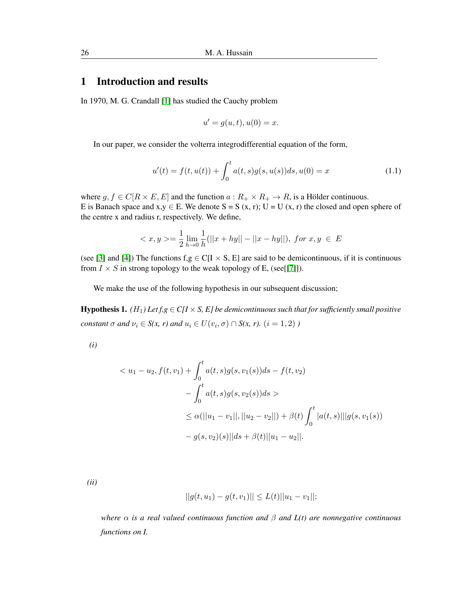## 1 Introduction and results

In 1970, M. G. Crandall [\[1\]](#page-7-1) has studied the Cauchy problem

$$
u' = g(u, t), u(0) = x.
$$

In our paper, we consider the volterra integrodifferential equation of the form,

<span id="page-1-0"></span>
$$
u'(t) = f(t, u(t)) + \int_0^t a(t, s)g(s, u(s))ds, u(0) = x \tag{1.1}
$$

where  $g, f \in C[R \times E, E]$  and the function  $a: R_+ \times R_+ \to R$ , is a Hölder continuous. E is Banach space and  $x, y \in E$ . We denote  $S = S(x, r)$ ;  $U = U(x, r)$  the closed and open sphere of the centre x and radius r, respectively. We define,

$$
\langle x, y \rangle = \frac{1}{2} \lim_{h \to 0} \frac{1}{h} (||x + hy|| - ||x - hy||), \text{ for } x, y \in E
$$

(see [\[3\]](#page-7-2) and [\[4\]](#page-7-3)) The functions  $f,g \in C[I \times S, E]$  are said to be demicontinuous, if it is continuous from  $I \times S$  in strong topology to the weak topology of E, (see[[\[7\]](#page-7-4)]).

We make the use of the following hypothesis in our subsequent discussion;

**Hypothesis 1.** *(H<sub>1</sub>)* Let  $f, g \in C[I \times S, E]$  be demicontinuous such that for sufficiently small positive *constant*  $\sigma$  *and*  $\nu_i \in S(x, r)$  *and*  $u_i \in U(v_i, \sigma) \cap S(x, r)$ .  $(i = 1, 2)$  *)* 

*(i)*

$$
\langle u_1 - u_2, f(t, v_1) + \int_0^t a(t, s)g(s, v_1(s))ds - f(t, v_2) \n- \int_0^t a(t, s)g(s, v_2(s))ds \rangle \n\le \alpha(||u_1 - v_1||, ||u_2 - v_2||) + \beta(t) \int_0^t |a(t, s)|| |g(s, v_1(s))| \n- g(s, v_2)(s) ||ds + \beta(t) ||u_1 - u_2||.
$$

*(ii)*

$$
||g(t, u_1) - g(t, v_1)|| \le L(t) ||u_1 - v_1||;
$$

*where* α *is a real valued continuous function and* β *and L(t) are nonnegative continuous functions on I.*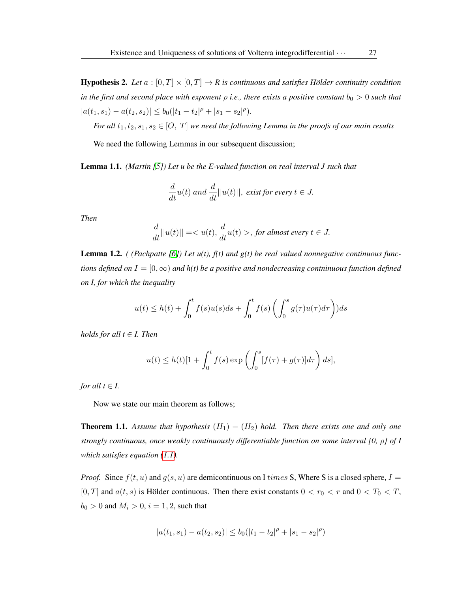**Hypothesis 2.** *Let*  $a : [0, T] \times [0, T] \rightarrow R$  *is continuous and satisfies Hölder continuity condition in the first and second place with exponent*  $\rho$  *i.e., there exists a positive constant*  $b_0 > 0$  *such that*  $|a(t_1, s_1) - a(t_2, s_2)| \le b_0(|t_1 - t_2|^{\rho} + |s_1 - s_2|^{\rho}).$ 

*For all*  $t_1, t_2, s_1, s_2 \in [O, T]$  *we need the following Lemma in the proofs of our main results* 

We need the following Lemmas in our subsequent discussion;

Lemma 1.1. *(Martin [\[5\]](#page-7-5)) Let u be the E-valued function on real interval J such that*

$$
\frac{d}{dt}u(t) \ and \ \frac{d}{dt}||u(t)||, \ exist \ for \ every \ t \in J.
$$

*Then*

$$
\frac{d}{dt}||u(t)|| = , \text{ for almost every } t \in J.
$$

Lemma 1.2. *( (Pachpatte [\[6\]](#page-7-6)) Let u(t), f(t) and g(t) be real valued nonnegative continuous functions defined on*  $I = [0, \infty)$  *and h(t) be a positive and nondecreasing contninuous function defined on I, for which the inequality*

$$
u(t) \le h(t) + \int_0^t f(s)u(s)ds + \int_0^t f(s)\left(\int_0^s g(\tau)u(\tau)d\tau\right)ds
$$

*holds for all*  $t \in I$ *. Then* 

$$
u(t) \le h(t)[1 + \int_0^t f(s) \exp\left(\int_0^s [f(\tau) + g(\tau)]d\tau\right) ds],
$$

*for all*  $t \in I$ .

Now we state our main theorem as follows;

**Theorem 1.1.** Assume that hypothesis  $(H_1) - (H_2)$  hold. Then there exists one and only one *strongly continuous, once weakly continuously differentiable function on some interval [0,* ρ*] of I which satisfies equation [\(1.1\)](#page-1-0).*

*Proof.* Since  $f(t, u)$  and  $g(s, u)$  are demicontinuous on I times S, Where S is a closed sphere,  $I =$ [0, T] and  $a(t, s)$  is Hölder continuous. Then there exist constants  $0 < r_0 < r$  and  $0 < T_0 < T$ ,  $b_0 > 0$  and  $M_i > 0$ ,  $i = 1, 2$ , such that

$$
|a(t_1, s_1) - a(t_2, s_2)| \le b_0(|t_1 - t_2|^{\rho} + |s_1 - s_2|^{\rho})
$$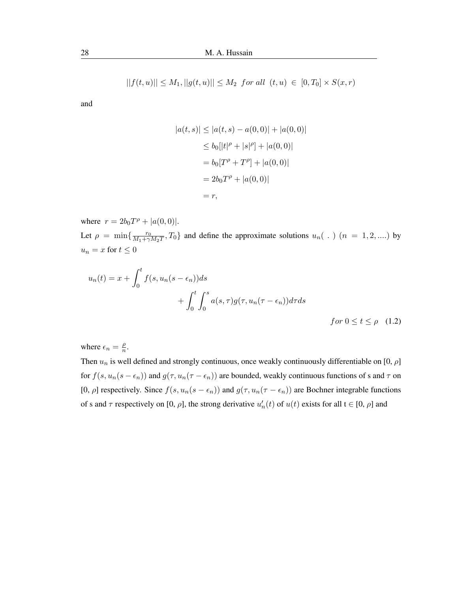$$
||f(t, u)|| \le M_1, ||g(t, u)|| \le M_2 \text{ for all } (t, u) \in [0, T_0] \times S(x, r)
$$

and

<span id="page-3-0"></span>
$$
|a(t,s)| \le |a(t,s) - a(0,0)| + |a(0,0)|
$$
  
\n
$$
\le b_0[|t|^{\rho} + |s|^{\rho}] + |a(0,0)|
$$
  
\n
$$
= b_0[T^{\rho} + T^{\rho}] + |a(0,0)|
$$
  
\n
$$
= 2b_0T^{\rho} + |a(0,0)|
$$
  
\n
$$
= r,
$$

where  $r = 2b_0T^{\rho} + |a(0,0)|$ . Let  $\rho = \min\left\{\frac{r_0}{M_1 + \gamma}\right\}$  $\frac{r_0}{M_1 + \gamma M_2 T}$ ,  $T_0$ } and define the approximate solutions  $u_n($ .  $)$   $(n = 1, 2, ....)$  by  $u_n=x$  for  $t\leq 0$ 

$$
u_n(t) = x + \int_0^t f(s, u_n(s - \epsilon_n)) ds
$$
  
+ 
$$
\int_0^t \int_0^s a(s, \tau) g(\tau, u_n(\tau - \epsilon_n)) d\tau ds
$$
  
for  $0 \le t \le \rho$  (1.2)

where  $\epsilon_n = \frac{\rho}{n}$  $\frac{\rho}{n}$ .

Then  $u_n$  is well defined and strongly continuous, once weakly continuously differentiable on [0,  $\rho$ ] for  $f(s, u_n(s - \epsilon_n))$  and  $g(\tau, u_n(\tau - \epsilon_n))$  are bounded, weakly continuous functions of s and  $\tau$  on [0,  $\rho$ ] respectively. Since  $f(s, u_n(s - \epsilon_n))$  and  $g(\tau, u_n(\tau - \epsilon_n))$  are Bochner integrable functions of s and  $\tau$  respectively on [0,  $\rho$ ], the strong derivative  $u'_n(t)$  of  $u(t)$  exists for all  $t \in [0, \rho]$  and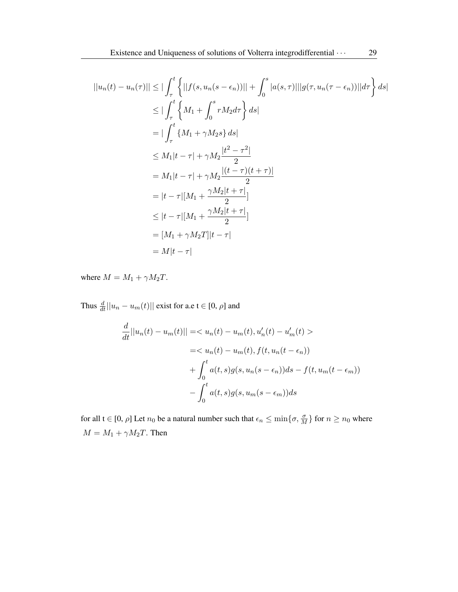$$
||u_n(t) - u_n(\tau)|| \leq ||\int_{\tau}^{t} \left\{ ||f(s, u_n(s - \epsilon_n))|| + \int_{0}^{s} |a(s, \tau)|| |g(\tau, u_n(\tau - \epsilon_n))|| d\tau \right\} ds|
$$
  
\n
$$
\leq |\int_{\tau}^{t} \left\{ M_1 + \int_{0}^{s} r M_2 d\tau \right\} ds|
$$
  
\n
$$
= |\int_{\tau}^{t} \left\{ M_1 + \gamma M_2 s \right\} ds|
$$
  
\n
$$
\leq M_1 |t - \tau| + \gamma M_2 \frac{|t^2 - \tau^2|}{2}
$$
  
\n
$$
= M_1 |t - \tau| + \gamma M_2 \frac{|(t - \tau)(t + \tau)|}{2}
$$
  
\n
$$
= |t - \tau| [M_1 + \frac{\gamma M_2 |t + \tau|}{2}]
$$
  
\n
$$
\leq |t - \tau| [M_1 + \frac{\gamma M_2 |t + \tau|}{2}]
$$
  
\n
$$
= [M_1 + \gamma M_2 T] |t - \tau|
$$
  
\n
$$
= M |t - \tau|
$$

where  $M = M_1 + \gamma M_2 T$ .

Thus  $\frac{d}{dt}||u_n - u_m(t)||$  exist for a.e t  $\in [0, \rho]$  and

$$
\frac{d}{dt}||u_n(t) - u_m(t)|| = \langle u_n(t) - u_m(t), u'_n(t) - u'_m(t) \rangle
$$
  
\n
$$
= \langle u_n(t) - u_m(t), f(t, u_n(t - \epsilon_n))
$$
  
\n
$$
+ \int_0^t a(t, s)g(s, u_n(s - \epsilon_n))ds - f(t, u_m(t - \epsilon_m))
$$
  
\n
$$
- \int_0^t a(t, s)g(s, u_m(s - \epsilon_m))ds
$$

for all  $t \in [0, \rho]$  Let  $n_0$  be a natural number such that  $\epsilon_n \le \min\{\sigma, \frac{\sigma}{M}\}\$  for  $n \ge n_0$  where  $M = M_1 + \gamma M_2 T.$  Then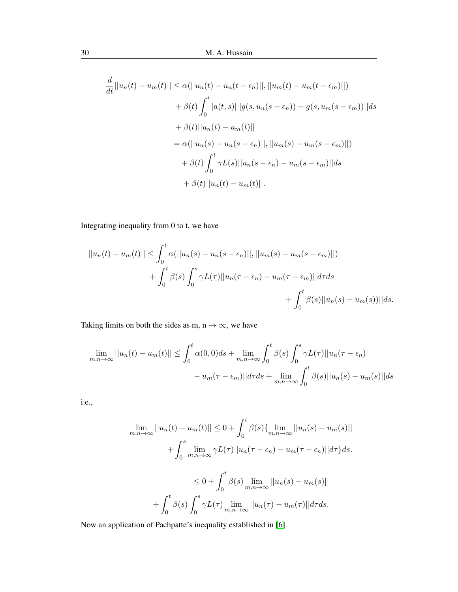$$
\frac{d}{dt}||u_n(t) - u_m(t)|| \leq \alpha(||u_n(t) - u_n(t - \epsilon_n)||, ||u_m(t) - u_m(t - \epsilon_m)||)
$$
  
+  $\beta(t) \int_0^t |a(t, s)||g(s, u_n(s - \epsilon_n)) - g(s, u_m(s - \epsilon_m))||ds$   
+  $\beta(t)||u_n(t) - u_m(t)||$   
=  $\alpha(||u_n(s) - u_n(s - \epsilon_n)||, ||u_m(s) - u_m(s - \epsilon_m)||)$   
+  $\beta(t) \int_0^t \gamma L(s)||u_n(s - \epsilon_n) - u_m(s - \epsilon_m)||ds$   
+  $\beta(t)||u_n(t) - u_m(t)||$ .

Integrating inequality from 0 to t, we have

$$
||u_n(t) - u_m(t)|| \le \int_0^t \alpha(||u_n(s) - u_n(s - \epsilon_n)||, ||u_m(s) - u_m(s - \epsilon_m)||)
$$
  
+ 
$$
\int_0^t \beta(s) \int_0^s \gamma L(\tau) ||u_n(\tau - \epsilon_n) - u_m(\tau - \epsilon_m)|| d\tau ds
$$
  
+ 
$$
\int_0^t \beta(s) ||u_n(s) - u_m(s))|| ds.
$$

Taking limits on both the sides as m, n  $\rightarrow \infty$ , we have

$$
\lim_{m,n \to \infty} ||u_n(t) - u_m(t)|| \le \int_0^t \alpha(0,0)ds + \lim_{m,n \to \infty} \int_0^t \beta(s) \int_0^s \gamma L(\tau) ||u_n(\tau - \epsilon_n)|
$$

$$
- u_m(\tau - \epsilon_m) ||d\tau ds + \lim_{m,n \to \infty} \int_0^t \beta(s) ||u_n(s) - u_m(s)||ds
$$

i.e.,

$$
\lim_{m,n \to \infty} ||u_n(t) - u_m(t)|| \le 0 + \int_0^t \beta(s) \{ \lim_{m,n \to \infty} ||u_n(s) - u_m(s)||
$$
  
+ 
$$
\int_0^s \lim_{m,n \to \infty} \gamma L(\tau) ||u_n(\tau - \epsilon_n) - u_m(\tau - \epsilon_n)|| d\tau \} ds.
$$
  

$$
\le 0 + \int_0^t \beta(s) \lim_{m,n \to \infty} ||u_n(s) - u_m(s)||
$$
  
+ 
$$
\int_0^t \beta(s) \int_0^s \gamma L(\tau) \lim_{m,n \to \infty} ||u_n(\tau) - u_m(\tau)|| d\tau ds.
$$

Now an application of Pachpatte's inequality established in [\[6\]](#page-7-6).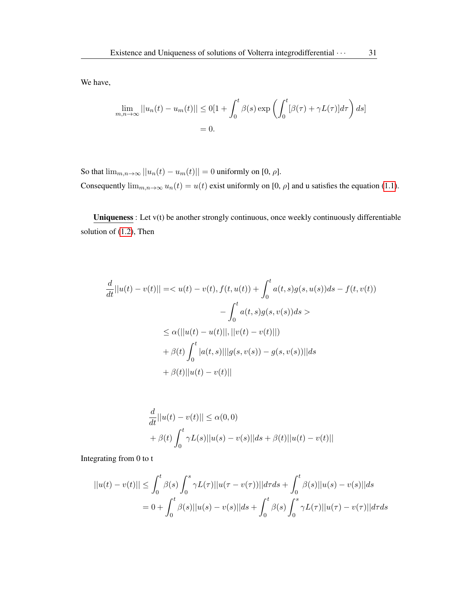We have,

$$
\lim_{m,n \to \infty} ||u_n(t) - u_m(t)|| \le 0[1 + \int_0^t \beta(s) \exp\left(\int_0^t [\beta(\tau) + \gamma L(\tau)] d\tau\right) ds]
$$
  
= 0.

So that  $\lim_{m,n\to\infty}||u_n(t)-u_m(t)||=0$  uniformly on [0,  $\rho$ ].

Consequently  $\lim_{m,n\to\infty} u_n(t) = u(t)$  exist uniformly on [0,  $\rho$ ] and u satisfies the equation [\(1.1\)](#page-1-0).

Uniqueness : Let v(t) be another strongly continuous, once weekly continuously differentiable solution of [\(1.2\)](#page-3-0), Then

$$
\frac{d}{dt}||u(t) - v(t)|| = \langle u(t) - v(t), f(t, u(t)) + \int_0^t a(t, s)g(s, u(s))ds - f(t, v(t))
$$

$$
- \int_0^t a(t, s)g(s, v(s))ds >
$$

$$
\leq \alpha(||u(t) - u(t)||, ||v(t) - v(t)||)
$$

$$
+ \beta(t)\int_0^t |a(t, s)|||g(s, v(s)) - g(s, v(s))||ds
$$

$$
+ \beta(t)||u(t) - v(t)||
$$

$$
\frac{d}{dt}||u(t) - v(t)|| \le \alpha(0,0) \n+ \beta(t) \int_0^t \gamma L(s) ||u(s) - v(s)|| ds + \beta(t) ||u(t) - v(t)||
$$

Integrating from 0 to t

$$
||u(t) - v(t)|| \le \int_0^t \beta(s) \int_0^s \gamma L(\tau) ||u(\tau - v(\tau))|| d\tau ds + \int_0^t \beta(s) ||u(s) - v(s)|| ds
$$
  
=  $0 + \int_0^t \beta(s) ||u(s) - v(s)|| ds + \int_0^t \beta(s) \int_0^s \gamma L(\tau) ||u(\tau) - v(\tau)|| d\tau ds$